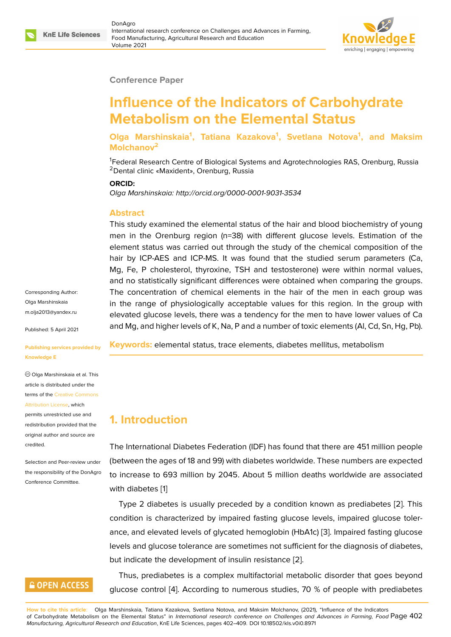#### **Conference Paper**

# **Influence of the Indicators of Carbohydrate Metabolism on the Elemental Status**

**Olga Marshinskaia<sup>1</sup> , Tatiana Kazakova<sup>1</sup> , Svetlana Notova<sup>1</sup> , and Maksim Molchanov<sup>2</sup>**

<sup>1</sup>Federal Research Centre of Biological Systems and Agrotechnologies RAS, Orenburg, Russia <sup>2</sup>Dental clinic «Maxident», Orenburg, Russia

#### **ORCID:**

*Olga Marshinskaia: http://orcid.org/0000-0001-9031-3534*

#### **Abstract**

This study examined the elemental status of the hair and blood biochemistry of young men in the Orenburg region (n=38) with different glucose levels. Estimation of the element status was carried out through the study of the chemical composition of the hair by ICP-AES and ICP-MS. It was found that the studied serum parameters (Ca, Mg, Fe, P cholesterol, thyroxine, TSH and testosterone) were within normal values, and no statistically significant differences were obtained when comparing the groups. The concentration of chemical elements in the hair of the men in each group was in the range of physiologically acceptable values for this region. In the group with elevated glucose levels, there was a tendency for the men to have lower values of Ca and Mg, and higher levels of K, Na, P and a number of toxic elements (Al, Cd, Sn, Hg, Pb).

**Keywords:** elemental status, trace elements, diabetes mellitus, metabolism

## **1. Introduction**

The International Diabetes Federation (IDF) has found that there are 451 million people (between the ages of 18 and 99) with diabetes worldwide. These numbers are expected to increase to 693 million by 2045. About 5 million deaths worldwide are associated with diabetes [1]

Type 2 diabetes is usually preceded by a condition known as prediabetes [2]. This condition is characterized by impaired fasting glucose levels, impaired glucose tolerance, and elev[a](#page-5-0)ted levels of glycated hemoglobin (HbA1c) [3]. Impaired fasting glucose levels and glucose tolerance are sometimes not sufficient for the diagnosis of d[iab](#page-5-1)etes, but indicate the development of insulin resistance [2].

Thus, prediabetes is a complex multifactorial metabolic [d](#page-5-2)isorder that goes beyond glucose control [4]. According to numerous studie[s,](#page-5-1) 70 % of people with prediabetes

**How to cite this article**: Olga Marshinskaia, Tatiana Kazakova, Svetlana Notova, and Maksim Molchanov, (2021), "Influence of the Indicators of Carbohydrate Metabolism on the Elemental Status" in *International research conference on Challenges and Advances in Farming, Food* Page 402 *Manufacturing, Agricultural Research and Education*, KnE [Lif](#page-5-3)e Sciences, pages 402–409. DOI 10.18502/kls.v0i0.8971

Corresponding Author: Olga Marshinskaia m.olja2013@yandex.ru

Published: 5 April 2021

**[Publishing services pr](mailto:m.olja2013@yandex.ru)ovided by Knowledge E**

Olga Marshinskaia et al. This article is distributed under the terms of the Creative Commons Attribution License, which

permits unrestricted use and redistribution provided that the original auth[or and source are](https://creativecommons.org/licenses/by/4.0/) [credited.](https://creativecommons.org/licenses/by/4.0/)

Selection and Peer-review under the responsibility of the DonAgro Conference Committee.

### **GOPEN ACCESS**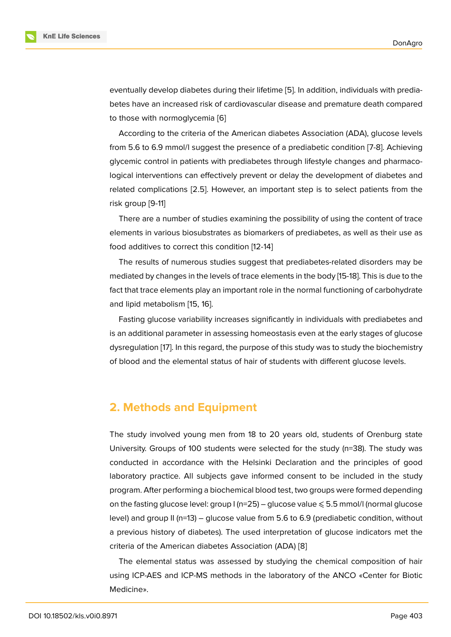eventually develop diabetes during their lifetime [5]. In addition, individuals with prediabetes have an increased risk of cardiovascular disease and premature death compared to those with normoglycemia [6]

According to the criteria of the American diab[ete](#page-5-4)s Association (ADA), glucose levels from 5.6 to 6.9 mmol/l suggest the presence of a prediabetic condition [7-8]. Achieving glycemic control in patients wi[th](#page-5-5) prediabetes through lifestyle changes and pharmacological interventions can effectively prevent or delay the development of diabetes and related complications [2.5]. However, an important step is to select patients from the risk group [9-11]

There are a number of studies examining the possibility of using the content of trace elements in various biosubstrates as biomarkers of prediabetes, as well as their use as food additives to correct this condition [12-14]

The results of numerous studies suggest that prediabetes-related disorders may be mediated by changes in the levels of trace elements in the body [15-18]. This is due to the fact that trace elements play an important role in the normal functioning of carbohydrate and lipid metabolism [15, 16].

Fasting glucose variability increases significantly in individuals with prediabetes and is an additional parameter in assessing homeostasis even at the early stages of glucose dysregulation [17]. In t[his](#page-6-0) r[eg](#page-6-1)ard, the purpose of this study was to study the biochemistry of blood and the elemental status of hair of students with different glucose levels.

### **2. Methods and Equipment**

The study involved young men from 18 to 20 years old, students of Orenburg state University. Groups of 100 students were selected for the study (n=38). The study was conducted in accordance with the Helsinki Declaration and the principles of good laboratory practice. All subjects gave informed consent to be included in the study program. After performing a biochemical blood test, two groups were formed depending on the fasting glucose level: group  $I(n=25)$  – glucose value  $\leq 5.5$  mmol/l (normal glucose level) and group II (n=13) – glucose value from 5.6 to 6.9 (prediabetic condition, without a previous history of diabetes). The used interpretation of glucose indicators met the criteria of the American diabetes Association (ADA) [8]

The elemental status was assessed by studying the chemical composition of hair using ICP-AES and ICP-MS methods in the laboratory of the ANCO «Center for Biotic Medicine».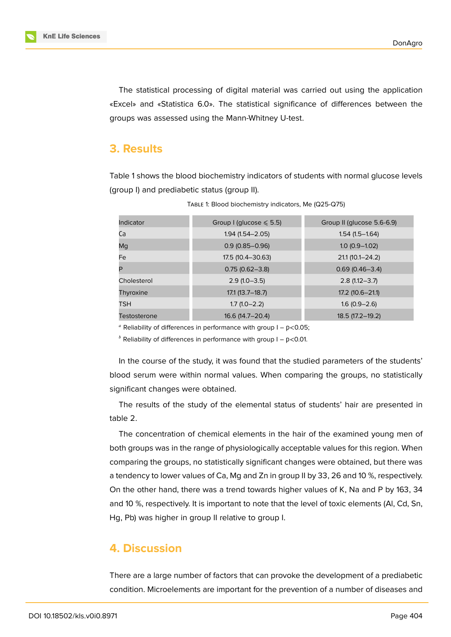**KnE Life Sciences** 

The statistical processing of digital material was carried out using the application «Excel» and «Statistica 6.0». The statistical significance of differences between the groups was assessed using the Mann-Whitney U-test.

### **3. Results**

Table 1 shows the blood biochemistry indicators of students with normal glucose levels (group I) and prediabetic status (group II).

| Indicator    | Group I (glucose $\leq 5.5$ ) | Group II (glucose 5.6-6.9) |  |
|--------------|-------------------------------|----------------------------|--|
| Ca           | $1.94(1.54 - 2.05)$           | $1.54(1.5-1.64)$           |  |
| Mq           | $0.9(0.85 - 0.96)$            | $1.0(0.9-1.02)$            |  |
| Fe           | $17.5(10.4 - 30.63)$          | $21.1(10.1 - 24.2)$        |  |
| P            | $0.75(0.62 - 3.8)$            | $0.69(0.46 - 3.4)$         |  |
| Cholesterol  | $2.9(1.0-3.5)$                | $2.8(1.12 - 3.7)$          |  |
| Thyroxine    | $17.1(13.7 - 18.7)$           | $17.2$ (10.6 - 21.1)       |  |
| <b>TSH</b>   | $1.7(1.0-2.2)$                | $1.6(0.9 - 2.6)$           |  |
| Testosterone | $16.6(14.7 - 20.4)$           | $18.5(17.2 - 19.2)$        |  |
|              |                               |                            |  |

TABLE 1: Blood biochemistry indicators, Me (Q25-Q75)

<sup>a</sup> Reliability of differences in performance with group  $I - p < 0.05$ ;

 $<sup>b</sup>$  Reliability of differences in performance with group I – p<0.01.</sup>

In the course of the study, it was found that the studied parameters of the students' blood serum were within normal values. When comparing the groups, no statistically significant changes were obtained.

The results of the study of the elemental status of students' hair are presented in table 2.

The concentration of chemical elements in the hair of the examined young men of both groups was in the range of physiologically acceptable values for this region. When comparing the groups, no statistically significant changes were obtained, but there was a tendency to lower values of Ca, Mg and Zn in group II by 33, 26 and 10 %, respectively. On the other hand, there was a trend towards higher values of K, Na and P by 163, 34 and 10 %, respectively. It is important to note that the level of toxic elements (Al, Cd, Sn, Hg, Pb) was higher in group II relative to group I.

#### **4. Discussion**

There are a large number of factors that can provoke the development of a prediabetic condition. Microelements are important for the prevention of a number of diseases and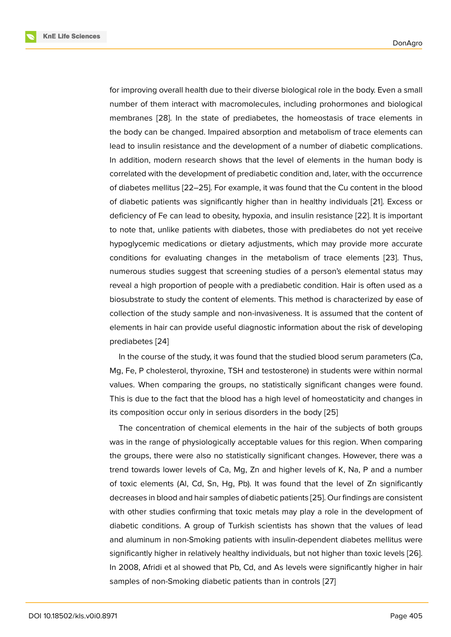for improving overall health due to their diverse biological role in the body. Even a small number of them interact with macromolecules, including prohormones and biological membranes [28]. In the state of prediabetes, the homeostasis of trace elements in the body can be changed. Impaired absorption and metabolism of trace elements can lead to insulin resistance and the development of a number of diabetic complications. In addition, [mod](#page-7-0)ern research shows that the level of elements in the human body is correlated with the development of prediabetic condition and, later, with the occurrence of diabetes mellitus [22–25]. For example, it was found that the Cu content in the blood of diabetic patients was significantly higher than in healthy individuals [21]. Excess or deficiency of Fe can lead to obesity, hypoxia, and insulin resistance [22]. It is important to note that, unlike patients with diabetes, those with prediabetes do not yet receive hypoglycemic medications or dietary adjustments, which may provide [mo](#page-7-1)re accurate conditions for evaluating changes in the metabolism of trace el[eme](#page-7-2)nts [23]. Thus, numerous studies suggest that screening studies of a person's elemental status may reveal a high proportion of people with a prediabetic condition. Hair is often used as a biosubstrate to study the content of elements. This method is characterized [by](#page-7-3) ease of collection of the study sample and non-invasiveness. It is assumed that the content of elements in hair can provide useful diagnostic information about the risk of developing prediabetes [24]

In the course of the study, it was found that the studied blood serum parameters (Ca, Mg, Fe, P cholesterol, thyroxine, TSH and testosterone) in students were within normal values. Whe[n co](#page-7-4)mparing the groups, no statistically significant changes were found. This is due to the fact that the blood has a high level of homeostaticity and changes in its composition occur only in serious disorders in the body [25]

The concentration of chemical elements in the hair of the subjects of both groups was in the range of physiologically acceptable values for this region. When comparing the groups, there were also no statistically significant chan[ges](#page-7-5). However, there was a trend towards lower levels of Ca, Mg, Zn and higher levels of K, Na, P and a number of toxic elements (Al, Cd, Sn, Hg, Pb). It was found that the level of Zn significantly decreases in blood and hair samples of diabetic patients [25]. Our findings are consistent with other studies confirming that toxic metals may play a role in the development of diabetic conditions. A group of Turkish scientists has shown that the values of lead and aluminum in non-Smoking patients with insulin-de[pend](#page-7-5)ent diabetes mellitus were significantly higher in relatively healthy individuals, but not higher than toxic levels [26]. In 2008, Afridi et al showed that Pb, Cd, and As levels were significantly higher in hair samples of non-Smoking diabetic patients than in controls [27]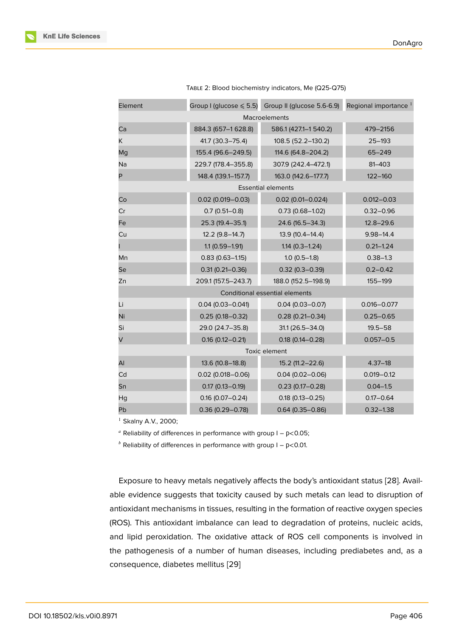| Element                        |                       | Group I (glucose $\leq 5.5$ ) Group II (glucose 5.6-6.9) | Regional importance <sup>1</sup> |  |
|--------------------------------|-----------------------|----------------------------------------------------------|----------------------------------|--|
| Macroelements                  |                       |                                                          |                                  |  |
| Ca                             | 884.3 (657-1 628.8)   | 586.1 (427.1-1 540.2)                                    | 479-2156                         |  |
| K.                             | 41.7 (30.3-75.4)      | 108.5 (52.2-130.2)                                       | $25 - 193$                       |  |
| Mg                             | 155.4 (96.6-249.5)    | 114.6 (64.8-204.2)                                       | $65 - 249$                       |  |
| Na                             | 229.7 (178.4-355.8)   | 307.9 (242.4-472.1)                                      | $81 - 403$                       |  |
| P                              | 148.4 (139.1-157.7)   | 163.0 (142.6-177.7)                                      | $122 - 160$                      |  |
| <b>Essential elements</b>      |                       |                                                          |                                  |  |
| Co                             | $0.02$ (0.019 - 0.03) | $0.02$ (0.01-0.024)                                      | $0.012 - 0.03$                   |  |
| Cr                             | $0.7(0.51 - 0.8)$     | $0.73(0.68 - 1.02)$                                      | $0.32 - 0.96$                    |  |
| Fe                             | 25.3 (19.4-35.1)      | 24.6 (16.5-34.3)                                         | $12.8 - 29.6$                    |  |
| Cu                             | 12.2 (9.8-14.7)       | 13.9 (10.4-14.4)                                         | $9.98 - 14.4$                    |  |
|                                | $1.1(0.59 - 1.91)$    | $1.14(0.3 - 1.24)$                                       | $0.21 - 1.24$                    |  |
| Mn                             | $0.83(0.63 - 1.15)$   | $1.0(0.5-1.8)$                                           | $0.38 - 1.3$                     |  |
| Se                             | $0.31(0.21 - 0.36)$   | $0.32(0.3 - 0.39)$                                       | $0.2 - 0.42$                     |  |
| Zn                             | 209.1 (157.5-243.7)   | 188.0 (152.5-198.9)                                      | 155-199                          |  |
| Conditional essential elements |                       |                                                          |                                  |  |
| Li                             | $0.04(0.03 - 0.041)$  | $0.04(0.03 - 0.07)$                                      | $0.016 - 0.077$                  |  |
| Ni                             | $0.25(0.18 - 0.32)$   | $0.28(0.21 - 0.34)$                                      | $0.25 - 0.65$                    |  |
| Si                             | 29.0 (24.7-35.8)      | 31.1 (26.5-34.0)                                         | $19.5 - 58$                      |  |
| V                              | $0.16$ (0.12-0.21)    | $0.18$ (0.14 - 0.28)                                     | $0.057 - 0.5$                    |  |
| Toxic element                  |                       |                                                          |                                  |  |
| Al                             | 13.6 (10.8-18.8)      | $15.2(11.2 - 22.6)$                                      | $4.37 - 18$                      |  |
| Cd                             | $0.02$ (0.018-0.06)   | $0.04(0.02 - 0.06)$                                      | $0.019 - 0.12$                   |  |
| Sn                             | $0.17(0.13 - 0.19)$   | $0.23(0.17 - 0.28)$                                      | $0.04 - 1.5$                     |  |
| Hg                             | $0.16(0.07 - 0.24)$   | $0.18(0.13 - 0.25)$                                      | $0.17 - 0.64$                    |  |
| Pb                             | $0.36(0.29 - 0.78)$   | $0.64(0.35 - 0.86)$                                      | $0.32 - 1.38$                    |  |

 $1$  Skalny A.V., 2000;

<sup>a</sup> Reliability of differences in performance with group  $I - p < 0.05$ ;

 $<sup>b</sup>$  Reliability of differences in performance with group I – p<0.01.</sup>

Exposure to heavy metals negatively affects the body's antioxidant status [28]. Available evidence suggests that toxicity caused by such metals can lead to disruption of antioxidant mechanisms in tissues, resulting in the formation of reactive oxygen species (ROS). This antioxidant imbalance can lead to degradation of proteins, nuc[leic](#page-7-0) acids, and lipid peroxidation. The oxidative attack of ROS cell components is involved in the pathogenesis of a number of human diseases, including prediabetes and, as a consequence, diabetes mellitus [29]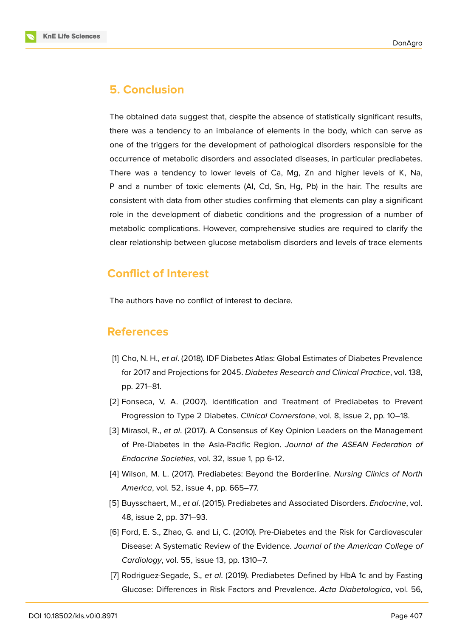

# **5. Conclusion**

The obtained data suggest that, despite the absence of statistically significant results, there was a tendency to an imbalance of elements in the body, which can serve as one of the triggers for the development of pathological disorders responsible for the occurrence of metabolic disorders and associated diseases, in particular prediabetes. There was a tendency to lower levels of Ca, Mg, Zn and higher levels of K, Na, P and a number of toxic elements (Al, Cd, Sn, Hg, Pb) in the hair. The results are consistent with data from other studies confirming that elements can play a significant role in the development of diabetic conditions and the progression of a number of metabolic complications. However, comprehensive studies are required to clarify the clear relationship between glucose metabolism disorders and levels of trace elements

# **Conflict of Interest**

The authors have no conflict of interest to declare.

### **References**

- <span id="page-5-0"></span>[1] Cho, N. H., *et al*. (2018). IDF Diabetes Atlas: Global Estimates of Diabetes Prevalence for 2017 and Projections for 2045. *Diabetes Research and Clinical Practice*, vol. 138, pp. 271–81.
- <span id="page-5-1"></span>[2] Fonseca, V. A. (2007). Identification and Treatment of Prediabetes to Prevent Progression to Type 2 Diabetes. *Clinical Cornerstone*, vol. 8, issue 2, pp. 10–18.
- <span id="page-5-2"></span>[3] Mirasol, R., *et al*. (2017). A Consensus of Key Opinion Leaders on the Management of Pre-Diabetes in the Asia-Pacific Region. *Journal of the ASEAN Federation of Endocrine Societies*, vol. 32, issue 1, pp 6-12.
- <span id="page-5-3"></span>[4] Wilson, M. L. (2017). Prediabetes: Beyond the Borderline. *Nursing Clinics of North America*, vol. 52, issue 4, pp. 665–77.
- <span id="page-5-4"></span>[5] Buysschaert, M., *et al*. (2015). Prediabetes and Associated Disorders. *Endocrine*, vol. 48, issue 2, pp. 371–93.
- <span id="page-5-5"></span>[6] Ford, E. S., Zhao, G. and Li, C. (2010). Pre-Diabetes and the Risk for Cardiovascular Disease: A Systematic Review of the Evidence. *Journal of the American College of Cardiology*, vol. 55, issue 13, pp. 1310–7.
- [7] Rodriguez-Segade, S., *et al*. (2019). Prediabetes Defined by HbA 1c and by Fasting Glucose: Differences in Risk Factors and Prevalence. *Acta Diabetologica*, vol. 56,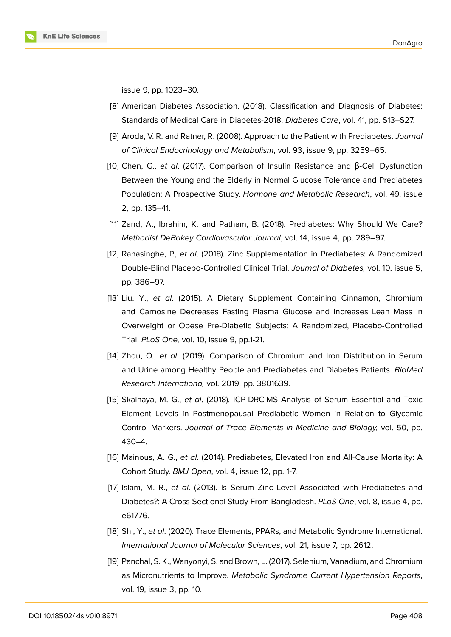

issue 9, pp. 1023–30.

- [8] American Diabetes Association. (2018). Classification and Diagnosis of Diabetes: Standards of Medical Care in Diabetes-2018. *Diabetes Care*, vol. 41, pp. S13–S27.
- [9] Aroda, V. R. and Ratner, R. (2008). Approach to the Patient with Prediabetes. *Journal of Clinical Endocrinology and Metabolism*, vol. 93, issue 9, pp. 3259–65.
- [10] Chen, G., *et al*. (2017). Comparison of Insulin Resistance and β-Cell Dysfunction Between the Young and the Elderly in Normal Glucose Tolerance and Prediabetes Population: A Prospective Study. *Hormone and Metabolic Research*, vol. 49, issue 2, pp. 135–41.
- [11] Zand, A., Ibrahim, K. and Patham, B. (2018). Prediabetes: Why Should We Care? *Methodist DeBakey Cardiovascular Journal*, vol. 14, issue 4, pp. 289–97.
- [12] Ranasinghe, P., *et al*. (2018). Zinc Supplementation in Prediabetes: A Randomized Double-Blind Placebo-Controlled Clinical Trial. *Journal of Diabetes,* vol. 10, issue 5, pp. 386–97.
- [13] Liu. Y., *et al*. (2015). A Dietary Supplement Containing Cinnamon, Chromium and Carnosine Decreases Fasting Plasma Glucose and Increases Lean Mass in Overweight or Obese Pre-Diabetic Subjects: A Randomized, Placebo-Controlled Trial. *PLoS One,* vol. 10, issue 9, pp.1-21.
- [14] Zhou, O., *et al*. (2019). Comparison of Chromium and Iron Distribution in Serum and Urine among Healthy People and Prediabetes and Diabetes Patients. *BioMed Research Internationa,* vol. 2019, pp. 3801639.
- <span id="page-6-0"></span>[15] Skalnaya, M. G., *et al*. (2018). ICP-DRC-MS Analysis of Serum Essential and Toxic Element Levels in Postmenopausal Prediabetic Women in Relation to Glycemic Control Markers. *Journal of Trace Elements in Medicine and Biology,* vol. 50, pp. 430–4.
- <span id="page-6-1"></span>[16] Mainous, A. G., *et al*. (2014). Prediabetes, Elevated Iron and All-Cause Mortality: A Cohort Study. *BMJ Open*, vol. 4, issue 12, pp. 1-7.
- [17] Islam, M. R., *et al*. (2013). Is Serum Zinc Level Associated with Prediabetes and Diabetes?: A Cross-Sectional Study From Bangladesh. *PLoS One*, vol. 8, issue 4, pp. e61776.
- [18] Shi, Y., *et al*. (2020). Trace Elements, PPARs, and Metabolic Syndrome International. *International Journal of Molecular Sciences*, vol. 21, issue 7, pp. 2612.
- [19] Panchal, S. K., Wanyonyi, S. and Brown, L. (2017). Selenium, Vanadium, and Chromium as Micronutrients to Improve. *Metabolic Syndrome Current Hypertension Reports*, vol. 19, issue 3, pp. 10.